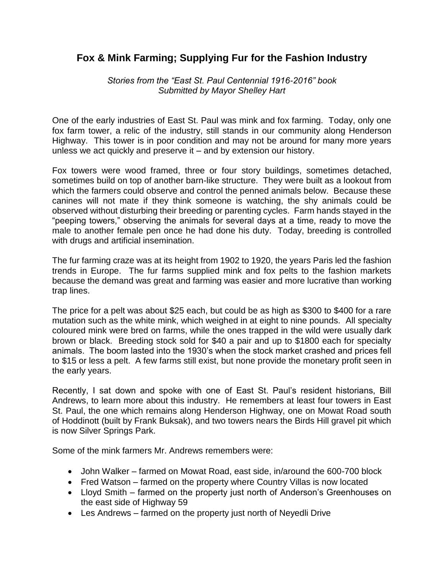## **Fox & Mink Farming; Supplying Fur for the Fashion Industry**

*Stories from the "East St. Paul Centennial 1916-2016" book Submitted by Mayor Shelley Hart*

One of the early industries of East St. Paul was mink and fox farming. Today, only one fox farm tower, a relic of the industry, still stands in our community along Henderson Highway. This tower is in poor condition and may not be around for many more years unless we act quickly and preserve it – and by extension our history.

Fox towers were wood framed, three or four story buildings, sometimes detached, sometimes build on top of another barn-like structure. They were built as a lookout from which the farmers could observe and control the penned animals below. Because these canines will not mate if they think someone is watching, the shy animals could be observed without disturbing their breeding or parenting cycles. Farm hands stayed in the "peeping towers," observing the animals for several days at a time, ready to move the male to another female pen once he had done his duty. Today, breeding is controlled with drugs and artificial insemination.

The fur farming craze was at its height from 1902 to 1920, the years Paris led the fashion trends in Europe. The fur farms supplied mink and fox pelts to the fashion markets because the demand was great and farming was easier and more lucrative than working trap lines.

The price for a pelt was about \$25 each, but could be as high as \$300 to \$400 for a rare mutation such as the white mink, which weighed in at eight to nine pounds. All specialty coloured mink were bred on farms, while the ones trapped in the wild were usually dark brown or black. Breeding stock sold for \$40 a pair and up to \$1800 each for specialty animals. The boom lasted into the 1930's when the stock market crashed and prices fell to \$15 or less a pelt. A few farms still exist, but none provide the monetary profit seen in the early years.

Recently, I sat down and spoke with one of East St. Paul's resident historians, Bill Andrews, to learn more about this industry. He remembers at least four towers in East St. Paul, the one which remains along Henderson Highway, one on Mowat Road south of Hoddinott (built by Frank Buksak), and two towers nears the Birds Hill gravel pit which is now Silver Springs Park.

Some of the mink farmers Mr. Andrews remembers were:

- John Walker farmed on Mowat Road, east side, in/around the 600-700 block
- Fred Watson farmed on the property where Country Villas is now located
- Lloyd Smith farmed on the property just north of Anderson's Greenhouses on the east side of Highway 59
- Les Andrews farmed on the property just north of Neyedli Drive